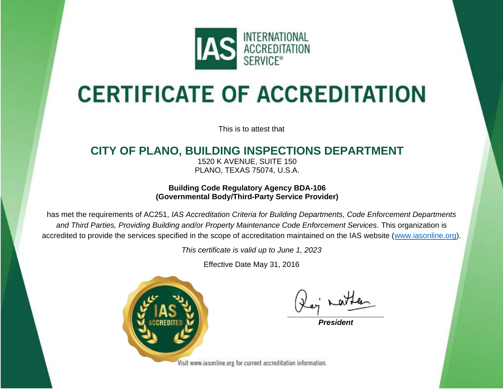

# **CERTIFICATE OF ACCREDITATION**

This is to attest that

### **CITY OF PLANO, BUILDING INSPECTIONS DEPARTMENT**

1520 K AVENUE, SUITE 150 PLANO, TEXAS 75074, U.S.A.

**Building Code Regulatory Agency BDA-106 (Governmental Body/Third-Party Service Provider)**

has met the requirements of AC251, *IAS Accreditation Criteria for Building Departments, Code Enforcement Departments and Third Parties, Providing Building and/or Property Maintenance Code Enforcement Services.* This organization is accredited to provide the services specified in the scope of accreditation maintained on the IAS website [\(www.iasonline.org\)](http://www.iasonline.org/).

*This certificate is valid up to June 1, 2023*

Effective Date May 31, 2016



**President** 

Visit www.iasonline.org for current accreditation information.